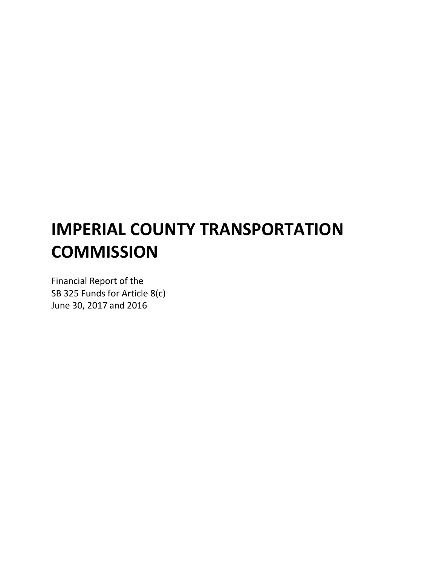# IMPERIAL COUNTY TRANSPORTATION **COMMISSION**

Financial Report of the SB 325 Funds for Article 8(c) June 30, 2017 and 2016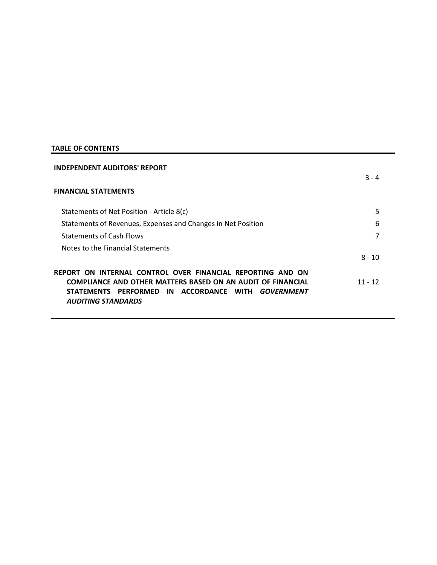# TABLE OF CONTENTS

| <b>INDEPENDENT AUDITORS' REPORT</b>                                                                                                                    |           |  |
|--------------------------------------------------------------------------------------------------------------------------------------------------------|-----------|--|
|                                                                                                                                                        | $3 - 4$   |  |
| <b>FINANCIAL STATEMENTS</b>                                                                                                                            |           |  |
| Statements of Net Position - Article 8(c)                                                                                                              | 5         |  |
| Statements of Revenues, Expenses and Changes in Net Position                                                                                           | 6         |  |
| <b>Statements of Cash Flows</b>                                                                                                                        |           |  |
| Notes to the Financial Statements                                                                                                                      |           |  |
|                                                                                                                                                        | $8 - 10$  |  |
| REPORT ON INTERNAL CONTROL OVER FINANCIAL REPORTING AND ON                                                                                             |           |  |
| <b>COMPLIANCE AND OTHER MATTERS BASED ON AN AUDIT OF FINANCIAL</b><br>PERFORMED IN ACCORDANCE<br><b>STATEMENTS</b><br><b>WITH</b><br><b>GOVERNMENT</b> | $11 - 12$ |  |
| <b>AUDITING STANDARDS</b>                                                                                                                              |           |  |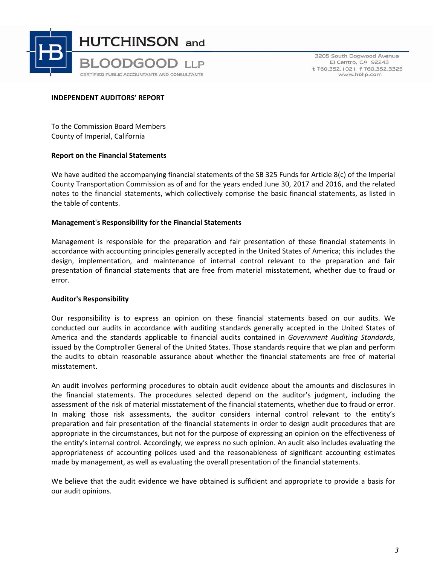

3205 South Dogwood Avenue El Centro, CA 92243 t 760.352.1021 f 760.352.3325 www.hbllp.com

## INDEPENDENT AUDITORS' REPORT

To the Commission Board Members County of Imperial, California

## Report on the Financial Statements

We have audited the accompanying financial statements of the SB 325 Funds for Article 8(c) of the Imperial County Transportation Commission as of and for the years ended June 30, 2017 and 2016, and the related notes to the financial statements, which collectively comprise the basic financial statements, as listed in the table of contents.

## Management's Responsibility for the Financial Statements

Management is responsible for the preparation and fair presentation of these financial statements in accordance with accounting principles generally accepted in the United States of America; this includes the design, implementation, and maintenance of internal control relevant to the preparation and fair presentation of financial statements that are free from material misstatement, whether due to fraud or error.

#### Auditor's Responsibility

Our responsibility is to express an opinion on these financial statements based on our audits. We conducted our audits in accordance with auditing standards generally accepted in the United States of America and the standards applicable to financial audits contained in Government Auditing Standards, issued by the Comptroller General of the United States. Those standards require that we plan and perform the audits to obtain reasonable assurance about whether the financial statements are free of material misstatement.

An audit involves performing procedures to obtain audit evidence about the amounts and disclosures in the financial statements. The procedures selected depend on the auditor's judgment, including the assessment of the risk of material misstatement of the financial statements, whether due to fraud or error. In making those risk assessments, the auditor considers internal control relevant to the entity's preparation and fair presentation of the financial statements in order to design audit procedures that are appropriate in the circumstances, but not for the purpose of expressing an opinion on the effectiveness of the entity's internal control. Accordingly, we express no such opinion. An audit also includes evaluating the appropriateness of accounting polices used and the reasonableness of significant accounting estimates made by management, as well as evaluating the overall presentation of the financial statements.

We believe that the audit evidence we have obtained is sufficient and appropriate to provide a basis for our audit opinions.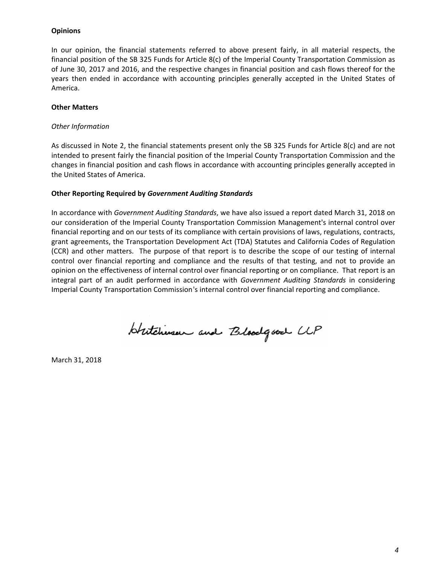## **Opinions**

In our opinion, the financial statements referred to above present fairly, in all material respects, the financial position of the SB 325 Funds for Article 8(c) of the Imperial County Transportation Commission as of June 30, 2017 and 2016, and the respective changes in financial position and cash flows thereof for the years then ended in accordance with accounting principles generally accepted in the United States of America.

#### Other Matters

#### Other Information

As discussed in Note 2, the financial statements present only the SB 325 Funds for Article 8(c) and are not intended to present fairly the financial position of the Imperial County Transportation Commission and the changes in financial position and cash flows in accordance with accounting principles generally accepted in the United States of America.

## Other Reporting Required by Government Auditing Standards

In accordance with Government Auditing Standards, we have also issued a report dated March 31, 2018 on our consideration of the Imperial County Transportation Commission Management's internal control over financial reporting and on our tests of its compliance with certain provisions of laws, regulations, contracts, grant agreements, the Transportation Development Act (TDA) Statutes and California Codes of Regulation (CCR) and other matters. The purpose of that report is to describe the scope of our testing of internal control over financial reporting and compliance and the results of that testing, and not to provide an opinion on the effectiveness of internal control over financial reporting or on compliance. That report is an integral part of an audit performed in accordance with *Government Auditing Standards* in considering Imperial County Transportation Commission's internal control over financial reporting and compliance.

Hutchinsen and Bloodgood CLP

March 31, 2018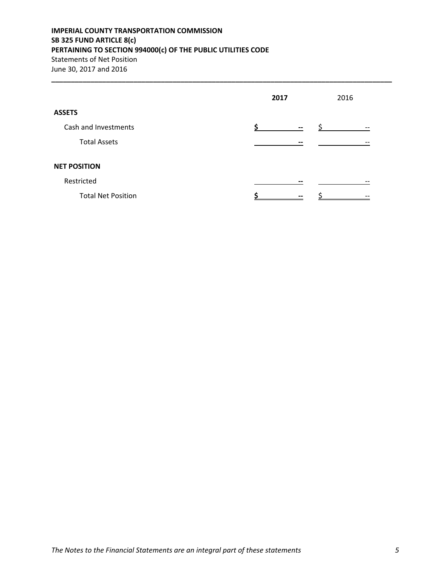# IMPERIAL COUNTY TRANSPORTATION COMMISSION SB 325 FUND ARTICLE 8(c) PERTAINING TO SECTION 994000(c) OF THE PUBLIC UTILITIES CODE Statements of Net Position June 30, 2017 and 2016

|                           | 2017                     | 2016              |  |
|---------------------------|--------------------------|-------------------|--|
| <b>ASSETS</b>             |                          |                   |  |
| Cash and Investments      | $\overline{\phantom{m}}$ | $\qquad \qquad -$ |  |
| <b>Total Assets</b>       | --                       |                   |  |
| <b>NET POSITION</b>       |                          |                   |  |
| Restricted                | $- -$                    |                   |  |
| <b>Total Net Position</b> | $- -$                    |                   |  |

\_\_\_\_\_\_\_\_\_\_\_\_\_\_\_\_\_\_\_\_\_\_\_\_\_\_\_\_\_\_\_\_\_\_\_\_\_\_\_\_\_\_\_\_\_\_\_\_\_\_\_\_\_\_\_\_\_\_\_\_\_\_\_\_\_\_\_\_\_\_\_\_\_\_\_\_\_\_\_\_\_\_\_\_\_\_\_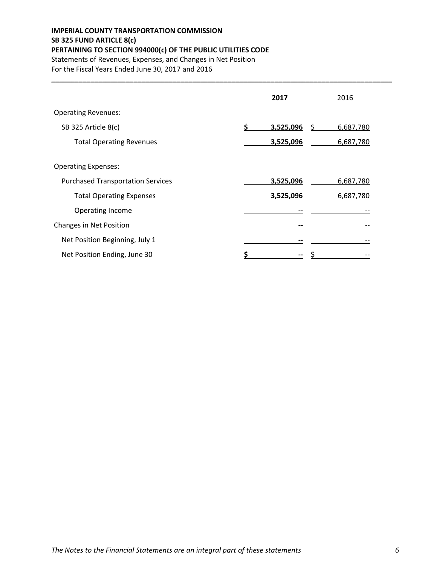# IMPERIAL COUNTY TRANSPORTATION COMMISSION SB 325 FUND ARTICLE 8(c) PERTAINING TO SECTION 994000(c) OF THE PUBLIC UTILITIES CODE Statements of Revenues, Expenses, and Changes in Net Position

For the Fiscal Years Ended June 30, 2017 and 2016

|                                          | 2017                  | 2016      |
|------------------------------------------|-----------------------|-----------|
| <b>Operating Revenues:</b>               |                       |           |
| SB 325 Article 8(c)                      | \$<br>3,525,096<br>\$ | 6,687,780 |
| <b>Total Operating Revenues</b>          | 3,525,096             | 6,687,780 |
| <b>Operating Expenses:</b>               |                       |           |
| <b>Purchased Transportation Services</b> | 3,525,096             | 6,687,780 |
| <b>Total Operating Expenses</b>          | 3,525,096             | 6,687,780 |
| Operating Income                         | --                    |           |
| Changes in Net Position                  |                       |           |
| Net Position Beginning, July 1           |                       |           |
| Net Position Ending, June 30             |                       |           |

\_\_\_\_\_\_\_\_\_\_\_\_\_\_\_\_\_\_\_\_\_\_\_\_\_\_\_\_\_\_\_\_\_\_\_\_\_\_\_\_\_\_\_\_\_\_\_\_\_\_\_\_\_\_\_\_\_\_\_\_\_\_\_\_\_\_\_\_\_\_\_\_\_\_\_\_\_\_\_\_\_\_\_\_\_\_\_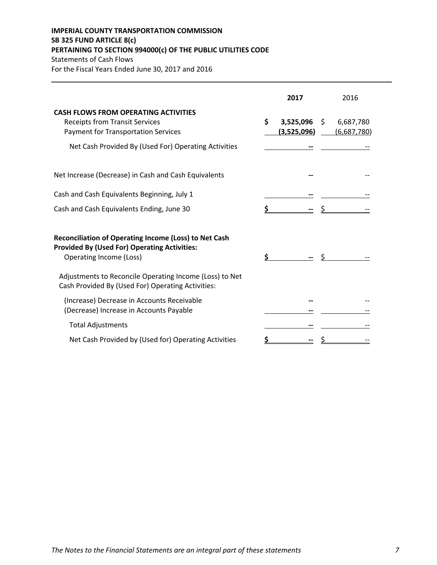# IMPERIAL COUNTY TRANSPORTATION COMMISSION SB 325 FUND ARTICLE 8(c) PERTAINING TO SECTION 994000(c) OF THE PUBLIC UTILITIES CODE Statements of Cash Flows

For the Fiscal Years Ended June 30, 2017 and 2016

|                                                                                                                                                | 2017                           | 2016                           |
|------------------------------------------------------------------------------------------------------------------------------------------------|--------------------------------|--------------------------------|
| <b>CASH FLOWS FROM OPERATING ACTIVITIES</b><br><b>Receipts from Transit Services</b><br><b>Payment for Transportation Services</b>             | \$<br>3,525,096<br>(3,525,096) | 6,687,780<br>Ŝ.<br>(6,687,780) |
| Net Cash Provided By (Used For) Operating Activities                                                                                           |                                |                                |
| Net Increase (Decrease) in Cash and Cash Equivalents                                                                                           |                                |                                |
| Cash and Cash Equivalents Beginning, July 1                                                                                                    |                                |                                |
| Cash and Cash Equivalents Ending, June 30                                                                                                      |                                |                                |
| <b>Reconciliation of Operating Income (Loss) to Net Cash</b><br><b>Provided By (Used For) Operating Activities:</b><br>Operating Income (Loss) | \$                             |                                |
| Adjustments to Reconcile Operating Income (Loss) to Net<br>Cash Provided By (Used For) Operating Activities:                                   |                                |                                |
| (Increase) Decrease in Accounts Receivable<br>(Decrease) Increase in Accounts Payable                                                          |                                |                                |
| <b>Total Adjustments</b>                                                                                                                       |                                |                                |
| Net Cash Provided by (Used for) Operating Activities                                                                                           |                                |                                |

\_\_\_\_\_\_\_\_\_\_\_\_\_\_\_\_\_\_\_\_\_\_\_\_\_\_\_\_\_\_\_\_\_\_\_\_\_\_\_\_\_\_\_\_\_\_\_\_\_\_\_\_\_\_\_\_\_\_\_\_\_\_\_\_\_\_\_\_\_\_\_\_\_\_\_\_\_\_\_\_\_\_\_\_\_\_\_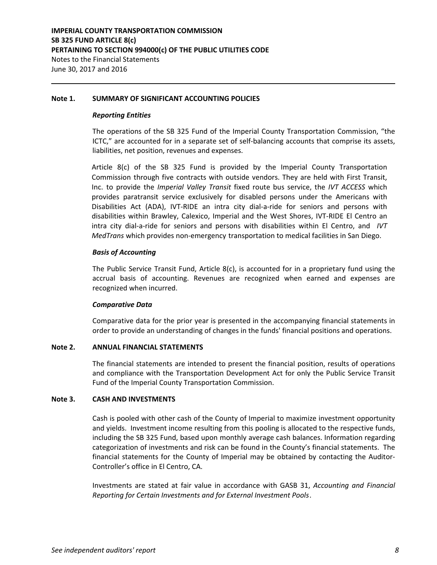#### Note 1. SUMMARY OF SIGNIFICANT ACCOUNTING POLICIES

#### Reporting Entities

The operations of the SB 325 Fund of the Imperial County Transportation Commission, "the ICTC," are accounted for in a separate set of self-balancing accounts that comprise its assets, liabilities, net position, revenues and expenses.

Article  $8(c)$  of the SB 325 Fund is provided by the Imperial County Transportation Commission through five contracts with outside vendors. They are held with First Transit, Inc. to provide the *Imperial Valley Transit* fixed route bus service, the IVT ACCESS which provides paratransit service exclusively for disabled persons under the Americans with Disabilities Act (ADA), IVT-RIDE an intra city dial-a-ride for seniors and persons with disabilities within Brawley, Calexico, Imperial and the West Shores, IVT-RIDE El Centro an intra city dial-a-ride for seniors and persons with disabilities within El Centro, and  $IVT$ MedTrans which provides non-emergency transportation to medical facilities in San Diego.

## Basis of Accounting

The Public Service Transit Fund, Article 8(c), is accounted for in a proprietary fund using the accrual basis of accounting. Revenues are recognized when earned and expenses are recognized when incurred.

## Comparative Data

Comparative data for the prior year is presented in the accompanying financial statements in order to provide an understanding of changes in the funds' financial positions and operations.

## Note 2. ANNUAL FINANCIAL STATEMENTS

The financial statements are intended to present the financial position, results of operations and compliance with the Transportation Development Act for only the Public Service Transit Fund of the Imperial County Transportation Commission.

## Note 3. CASH AND INVESTMENTS

Cash is pooled with other cash of the County of Imperial to maximize investment opportunity and yields. Investment income resulting from this pooling is allocated to the respective funds, including the SB 325 Fund, based upon monthly average cash balances. Information regarding categorization of investments and risk can be found in the County's financial statements. The financial statements for the County of Imperial may be obtained by contacting the Auditor-Controller's office in El Centro, CA.

Investments are stated at fair value in accordance with GASB 31, Accounting and Financial Reporting for Certain Investments and for External Investment Pools.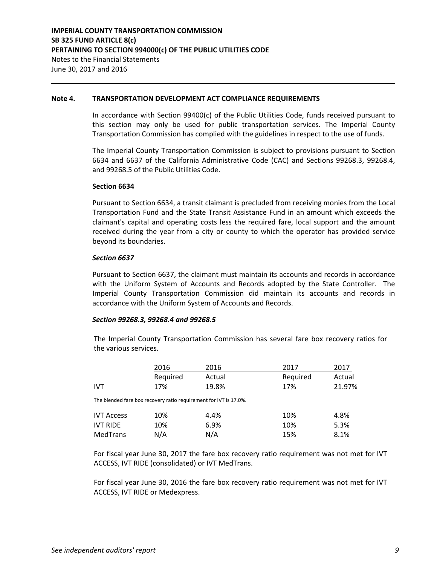#### Note 4. TRANSPORTATION DEVELOPMENT ACT COMPLIANCE REQUIREMENTS

In accordance with Section 99400(c) of the Public Utilities Code, funds received pursuant to this section may only be used for public transportation services. The Imperial County Transportation Commission has complied with the guidelines in respect to the use of funds.

The Imperial County Transportation Commission is subject to provisions pursuant to Section 6634 and 6637 of the California Administrative Code (CAC) and Sections 99268.3, 99268.4, and 99268.5 of the Public Utilities Code.

#### Section 6634

Pursuant to Section 6634, a transit claimant is precluded from receiving monies from the Local Transportation Fund and the State Transit Assistance Fund in an amount which exceeds the claimant's capital and operating costs less the required fare, local support and the amount received during the year from a city or county to which the operator has provided service beyond its boundaries.

#### Section 6637

Pursuant to Section 6637, the claimant must maintain its accounts and records in accordance with the Uniform System of Accounts and Records adopted by the State Controller. The Imperial County Transportation Commission did maintain its accounts and records in accordance with the Uniform System of Accounts and Records.

#### Section 99268.3, 99268.4 and 99268.5

The Imperial County Transportation Commission has several fare box recovery ratios for the various services.

|                   | 2016     | 2016                                                              | 2017     | 2017   |
|-------------------|----------|-------------------------------------------------------------------|----------|--------|
|                   | Required | Actual                                                            | Required | Actual |
| <b>IVT</b>        | 17%      | 19.8%                                                             | 17%      | 21.97% |
|                   |          | The blended fare box recovery ratio requirement for IVT is 17.0%. |          |        |
| <b>IVT Access</b> | 10%      | 4.4%                                                              | 10%      | 4.8%   |
| <b>IVT RIDE</b>   | 10%      | 6.9%                                                              | 10%      | 5.3%   |
| MedTrans          | N/A      | N/A                                                               | 15%      | 8.1%   |

For fiscal year June 30, 2017 the fare box recovery ratio requirement was not met for IVT ACCESS, IVT RIDE (consolidated) or IVT MedTrans.

For fiscal year June 30, 2016 the fare box recovery ratio requirement was not met for IVT ACCESS, IVT RIDE or Medexpress.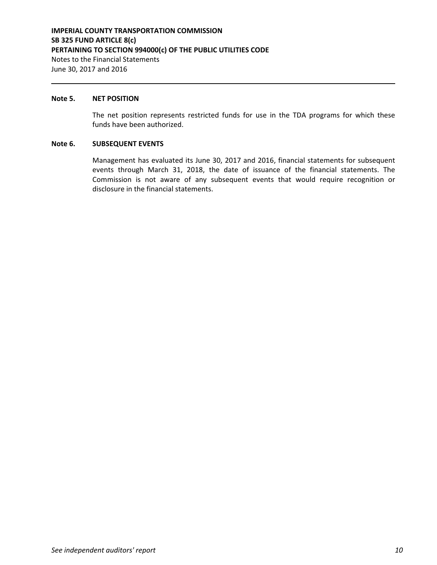#### Note 5. NET POSITION

The net position represents restricted funds for use in the TDA programs for which these funds have been authorized.

#### Note 6. SUBSEQUENT EVENTS

Management has evaluated its June 30, 2017 and 2016, financial statements for subsequent events through March 31, 2018, the date of issuance of the financial statements. The Commission is not aware of any subsequent events that would require recognition or disclosure in the financial statements.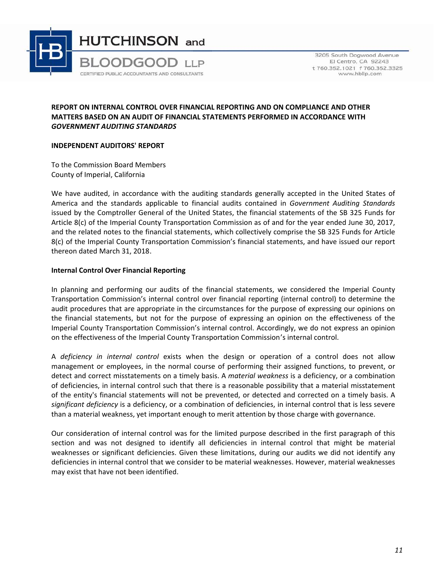

3205 South Dogwood Avenue El Centro, CA 92243 t 760.352.1021 f 760.352.3325 www.hbllp.com

## REPORT ON INTERNAL CONTROL OVER FINANCIAL REPORTING AND ON COMPLIANCE AND OTHER MATTERS BASED ON AN AUDIT OF FINANCIAL STATEMENTS PERFORMED IN ACCORDANCE WITH GOVERNMENT AUDITING STANDARDS

## INDEPENDENT AUDITORS' REPORT

To the Commission Board Members County of Imperial, California

We have audited, in accordance with the auditing standards generally accepted in the United States of America and the standards applicable to financial audits contained in Government Auditing Standards issued by the Comptroller General of the United States, the financial statements of the SB 325 Funds for Article 8(c) of the Imperial County Transportation Commission as of and for the year ended June 30, 2017, and the related notes to the financial statements, which collectively comprise the SB 325 Funds for Article 8(c) of the Imperial County Transportation Commission's financial statements, and have issued our report thereon dated March 31, 2018.

## Internal Control Over Financial Reporting

In planning and performing our audits of the financial statements, we considered the Imperial County Transportation Commission's internal control over financial reporting (internal control) to determine the audit procedures that are appropriate in the circumstances for the purpose of expressing our opinions on the financial statements, but not for the purpose of expressing an opinion on the effectiveness of the Imperial County Transportation Commission's internal control. Accordingly, we do not express an opinion on the effectiveness of the Imperial County Transportation Commission's internal control.

A deficiency in internal control exists when the design or operation of a control does not allow management or employees, in the normal course of performing their assigned functions, to prevent, or detect and correct misstatements on a timely basis. A material weakness is a deficiency, or a combination of deficiencies, in internal control such that there is a reasonable possibility that a material misstatement of the entity's financial statements will not be prevented, or detected and corrected on a timely basis. A significant deficiency is a deficiency, or a combination of deficiencies, in internal control that is less severe than a material weakness, yet important enough to merit attention by those charge with governance.

Our consideration of internal control was for the limited purpose described in the first paragraph of this section and was not designed to identify all deficiencies in internal control that might be material weaknesses or significant deficiencies. Given these limitations, during our audits we did not identify any deficiencies in internal control that we consider to be material weaknesses. However, material weaknesses may exist that have not been identified.